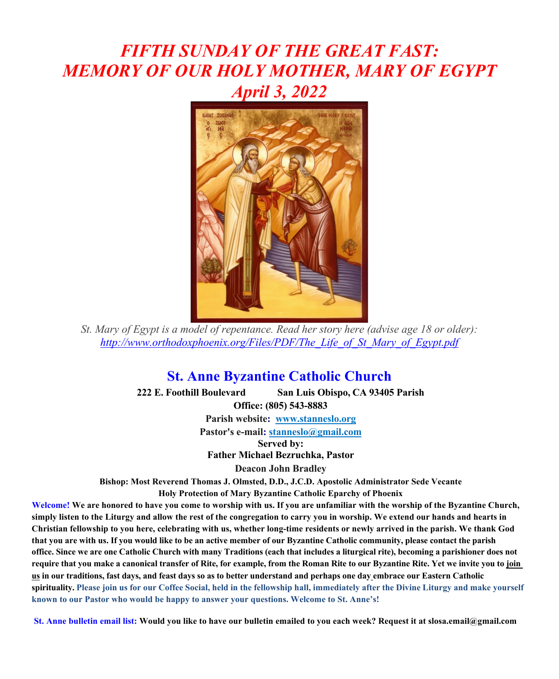# *FIFTH SUNDAY OF THE GREAT FAST: MEMORY OF OUR HOLY MOTHER, MARY OF EGYPT April 3, 2022*



*St. Mary of Egypt is a model of repentance. Read her story here (advise age 18 or older): http://www.orthodoxphoenix.org/Files/PDF/The\_Life\_of\_St\_Mary\_of\_Egypt.pdf*

### **St. Anne Byzantine Catholic Church**

**222 E. Foothill Boulevard San Luis Obispo, CA 93405 Parish Office: (805) 543-8883 Parish website: www.stanneslo.org Pastor's e-mail: stanneslo@gmail.com Served by: Father Michael Bezruchka, Pastor Deacon John Bradley Bishop: Most Reverend Thomas J. Olmsted, D.D., J.C.D. Apostolic Administrator Sede Vecante Holy Protection of Mary Byzantine Catholic Eparchy of Phoenix** 

**Welcome! We are honored to have you come to worship with us. If you are unfamiliar with the worship of the Byzantine Church, simply listen to the Liturgy and allow the rest of the congregation to carry you in worship. We extend our hands and hearts in Christian fellowship to you here, celebrating with us, whether long-time residents or newly arrived in the parish. We thank God that you are with us. If you would like to be an active member of our Byzantine Catholic community, please contact the parish office. Since we are one Catholic Church with many Traditions (each that includes a liturgical rite), becoming a parishioner does not require that you make a canonical transfer of Rite, for example, from the Roman Rite to our Byzantine Rite. Yet we invite you to join us in our traditions, fast days, and feast days so as to better understand and perhaps one day embrace our Eastern Catholic**  spirituality. Please join us for our Coffee Social, held in the fellowship hall, immediately after the Divine Liturgy and make vourself **known to our Pastor who would be happy to answer your questions. Welcome to St. Anne's!**

**St. Anne bulletin email list: Would you like to have our bulletin emailed to you each week? Request it at slosa.email@gmail.com**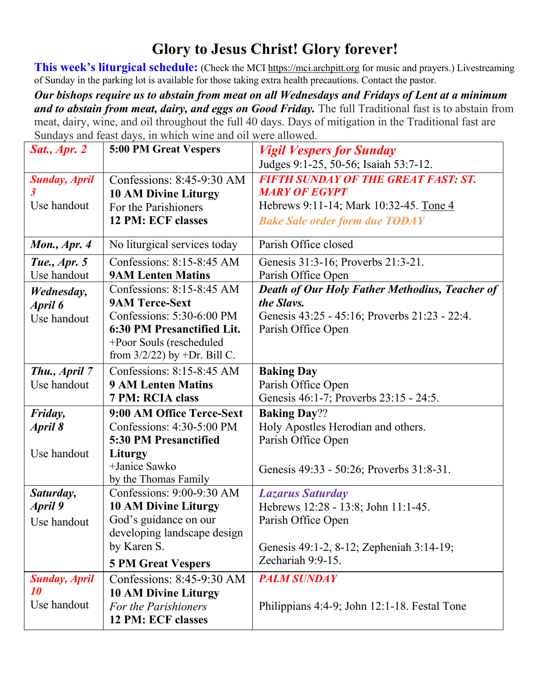## **Glory to Jesus Christ! Glory forever!**

**This week's liturgical schedule:** (Check the MCI https://mci.archpitt.org for music and prayers.) Livestreaming of Sunday in the parking lot is available for those taking extra health precautions. Contact the pastor.

*Our bishops require us to abstain from meat on all Wednesdays and Fridays of Lent at a minimum*  and to abstain from meat, dairy, and eggs on Good Friday. The full Traditional fast is to abstain from meat, dairy, wine, and oil throughout the full 40 days. Days of mitigation in the Traditional fast are Sundays and feast days, in which wine and oil were allowed.

| <b>Sat., Apr. 2</b>  | 5:00 PM Great Vespers           | <b>Vigil Vespers for Sunday</b>                |
|----------------------|---------------------------------|------------------------------------------------|
|                      |                                 | Judges 9:1-25, 50-56; Isaiah 53:7-12.          |
| <b>Sunday, April</b> | Confessions: $8:45-9:30$ AM     | <b>FIFTH SUNDAY OF THE GREAT FAST: ST.</b>     |
| 3                    | <b>10 AM Divine Liturgy</b>     | <b>MARY OF EGYPT</b>                           |
| Use handout          | For the Parishioners            | Hebrews 9:11-14; Mark 10:32-45. Tone 4         |
|                      | 12 PM: ECF classes              | <b>Bake Sale order form due TODAY</b>          |
| Mon., Apr. 4         | No liturgical services today    | Parish Office closed                           |
| Tue., Apr. 5         | Confessions: 8:15-8:45 AM       | Genesis 31:3-16; Proverbs 21:3-21.             |
| Use handout          | <b>9AM Lenten Matins</b>        | Parish Office Open                             |
| Wednesday,           | Confessions: 8:15-8:45 AM       | Death of Our Holy Father Methodius, Teacher of |
| April 6              | <b>9AM Terce-Sext</b>           | the Slavs.                                     |
| Use handout          | Confessions: $5:30-6:00$ PM     | Genesis 43:25 - 45:16; Proverbs 21:23 - 22:4.  |
|                      | 6:30 PM Presanctified Lit.      | Parish Office Open                             |
|                      | +Poor Souls (rescheduled        |                                                |
|                      | from $3/2/22$ ) by +Dr. Bill C. |                                                |
| Thu., April 7        | Confessions: $8:15-8:45$ AM     | <b>Baking Day</b>                              |
| Use handout          | <b>9 AM Lenten Matins</b>       | Parish Office Open                             |
|                      | 7 PM: RCIA class                | Genesis 46:1-7; Proverbs 23:15 - 24:5.         |
| Friday,              | 9:00 AM Office Terce-Sext       | <b>Baking Day??</b>                            |
| April 8              | Confessions: 4:30-5:00 PM       | Holy Apostles Herodian and others.             |
|                      | 5:30 PM Presanctified           | Parish Office Open                             |
| Use handout          | Liturgy                         |                                                |
|                      | +Janice Sawko                   | Genesis 49:33 - 50:26; Proverbs 31:8-31.       |
|                      | by the Thomas Family            |                                                |
| Saturday,            | Confessions: 9:00-9:30 AM       | <b>Lazarus Saturday</b>                        |
| April 9              | <b>10 AM Divine Liturgy</b>     | Hebrews 12:28 - 13:8; John 11:1-45.            |
| Use handout          | God's guidance on our           | Parish Office Open                             |
|                      | developing landscape design     |                                                |
|                      | by Karen S.                     | Genesis 49:1-2, 8-12; Zepheniah 3:14-19;       |
|                      | <b>5 PM Great Vespers</b>       | Zechariah 9:9-15.                              |
| <b>Sunday, April</b> | Confessions: 8:45-9:30 AM       | <b>PALM SUNDAY</b>                             |
| 10                   | <b>10 AM Divine Liturgy</b>     |                                                |
| Use handout          | For the Parishioners            | Philippians 4:4-9; John 12:1-18. Festal Tone   |
|                      | 12 PM: ECF classes              |                                                |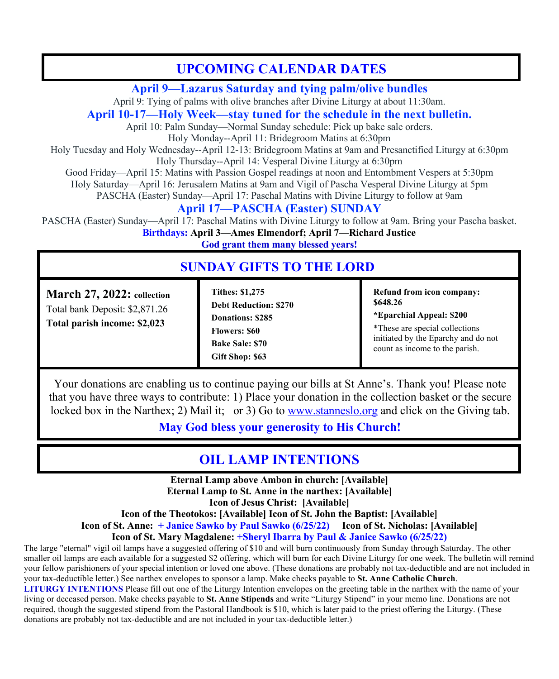## **UPCOMING CALENDAR DATES**

#### **April 9—Lazarus Saturday and tying palm/olive bundles**

April 9: Tying of palms with olive branches after Divine Liturgy at about 11:30am.

#### **April 10-17—Holy Week—stay tuned for the schedule in the next bulletin.**

April 10: Palm Sunday—Normal Sunday schedule: Pick up bake sale orders. Holy Monday--April 11: Bridegroom Matins at 6:30pm

Holy Tuesday and Holy Wednesday--April 12-13: Bridegroom Matins at 9am and Presanctified Liturgy at 6:30pm

Holy Thursday--April 14: Vesperal Divine Liturgy at 6:30pm

Good Friday—April 15: Matins with Passion Gospel readings at noon and Entombment Vespers at 5:30pm

Holy Saturday—April 16: Jerusalem Matins at 9am and Vigil of Pascha Vesperal Divine Liturgy at 5pm

PASCHA (Easter) Sunday—April 17: Paschal Matins with Divine Liturgy to follow at 9am

### **April 17—PASCHA (Easter) SUNDAY**

PASCHA (Easter) Sunday—April 17: Paschal Matins with Divine Liturgy to follow at 9am. Bring your Pascha basket. **Birthdays: April 3—Ames Elmendorf; April 7—Richard Justice**

**God grant them many blessed years!**

### **SUNDAY GIFTS TO THE LORD**

**January 3, 2021: collection March 27, 2022: collection Total bank Deposit: \$3,023.00** Total bank Deposit: \$2,871.26 **Total parish income: \$2,998 Total parish income: \$2,023**

**Holyday: Christmas: \$1,615**

**January 10, 2021: online**

**Total parish income: \$600**

**Tithes: \$1,275 Debt Reduction: \$270 Donations: \$285 Flowers: \$60 Bake Sale: \$70 Gift Shop: \$63**

**Refund from icon company: \$648.26**

**\*Eparchial Appeal: \$200**

\*These are special collections initiated by the Eparchy and do not count as income to the parish.

Your donations are enabling us to continue paying our bills at St Anne's. Thank you! Please note that you have three ways to contribute: 1) Place your donation in the collection basket or the secure locked box in the Narthex; 2) Mail it; or 3) Go to www.stanneslo.org and click on the Giving tab.

**May God bless your generosity to His Church!**

## **OIL LAMP INTENTIONS**

**the online giving the online giving portion of the narthex:** [Available] **Eternal Lamp above Ambon in church: [Available] Icon of Jesus Christ: [Available]**

**Icon of the Theotokos: [Available] Icon of St. John the Baptist: [Available]**

**Icon of St. Anne: + Janice Sawko by Paul Sawko (6/25/22)** Icon of St. Nicholas: [Available]

**Icon of St. Mary Magdalene: +Sheryl Ibarra by Paul & Janice Sawko (6/25/22)** 

The large "eternal" vigil oil lamps have a suggested offering of \$10 and will burn continuously from Sunday through Saturday. The other smaller oil lamps are each available for a suggested \$2 offering, which will burn for each Divine Liturgy for one week. The bulletin will remind your fellow parishioners of your special intention or loved one above. (These donations are probably not tax-deductible and are not included in your tax-deductible letter.) See narthex envelopes to sponsor a lamp. Make checks payable to **St. Anne Catholic Church**. **LITURGY INTENTIONS** Please fill out one of the Liturgy Intention envelopes on the greeting table in the narthex with the name of your living or deceased person. Make checks payable to **St. Anne Stipends** and write "Liturgy Stipend" in your memo line. Donations are not required, though the suggested stipend from the Pastoral Handbook is \$10, which is later paid to the priest offering the Liturgy. (These donations are probably not tax-deductible and are not included in your tax-deductible letter.)